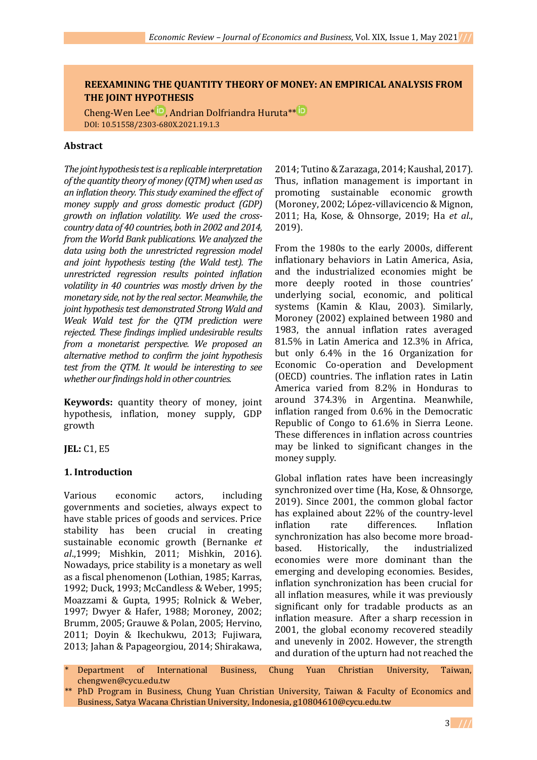# **REEXAMINING THE QUANTITY THEORY OF MONEY: AN EMPIRICAL ANALYSIS FROM THE JOINT HYPOTHESIS**

Cheng-WenLee<sup>\* **D**</sup>[,](https://orcid.org/0000-0002-4811-7000) Andrian Dolfriandra Huruta<sup>\*\* **D**</sup> DOI: 10.51558/2303-680X.2021.19.1.3

#### **Abstract**

*The joint hypothesis test is a replicable interpretation of the quantity theory of money (QTM) when used as an inflation theory. This study examined the effect of money supply and gross domestic product (GDP) growth on inflation volatility. We used the crosscountry data of 40 countries, both in 2002 and 2014, from the World Bank publications. We analyzed the data using both the unrestricted regression model and joint hypothesis testing (the Wald test). The unrestricted regression results pointed inflation volatility in 40 countries was mostly driven by the monetary side, not by the real sector. Meanwhile, the joint hypothesis test demonstrated Strong Wald and Weak Wald test for the QTM prediction were rejected. These findings implied undesirable results from a monetarist perspective. We proposed an alternative method to confirm the joint hypothesis test from the QTM. It would be interesting to see whether our findings hold in other countries.*

**Keywords:** quantity theory of money, joint hypothesis, inflation, money supply, GDP growth

**JEL:** C1, E5

# **1. Introduction**

Various economic actors, including governments and societies, always expect to have stable prices of goods and services. Price stability has been crucial in creating sustainable economic growth (Bernanke *et al*.,1999; Mishkin, 2011; Mishkin, 2016). Nowadays, price stability is a monetary as well as a fiscal phenomenon (Lothian, 1985; Karras, 1992; Duck, 1993; McCandless & Weber, 1995; Moazzami & Gupta, 1995; Rolnick & Weber, 1997; Dwyer & Hafer, 1988; Moroney, 2002; Brumm, 2005; Grauwe & Polan, 2005; Hervino, 2011; Doyin & Ikechukwu, 2013; Fujiwara, 2013; Jahan & Papageorgiou, 2014; Shirakawa,

2014; Tutino & Zarazaga, 2014; Kaushal, 2017). Thus, inflation management is important in promoting sustainable economic growth (Moroney, 2002; López-villavicencio & Mignon, 2011; Ha, Kose, & Ohnsorge, 2019; Ha *et al*., 2019).

From the 1980s to the early 2000s, different inflationary behaviors in Latin America, Asia, and the industrialized economies might be more deeply rooted in those countries' underlying social, economic, and political systems (Kamin & Klau, 2003). Similarly, Moroney (2002) explained between 1980 and 1983, the annual inflation rates averaged 81.5% in Latin America and 12.3% in Africa, but only 6.4% in the 16 Organization for Economic Co-operation and Development (OECD) countries. The inflation rates in Latin America varied from 8.2% in Honduras to around 374.3% in Argentina. Meanwhile, inflation ranged from 0.6% in the Democratic Republic of Congo to 61.6% in Sierra Leone. These differences in inflation across countries may be linked to significant changes in the money supply.

Global inflation rates have been increasingly synchronized over time (Ha, Kose, & Ohnsorge, 2019). Since 2001, the common global factor has explained about 22% of the country-level inflation rate differences. Inflation synchronization has also become more broadbased. Historically, the industrialized economies were more dominant than the emerging and developing economies. Besides, inflation synchronization has been crucial for all inflation measures, while it was previously significant only for tradable products as an inflation measure. After a sharp recession in 2001, the global economy recovered steadily and unevenly in 2002. However, the strength and duration of the upturn had not reached the

- Department of International Business, Chung Yuan Christian University, Taiwan, chengwen@cycu.edu.tw
- \*\* PhD Program in Business, Chung Yuan Christian University, Taiwan & Faculty of Economics and Business, Satya Wacana Christian University, Indonesia, g10804610@cycu.edu.tw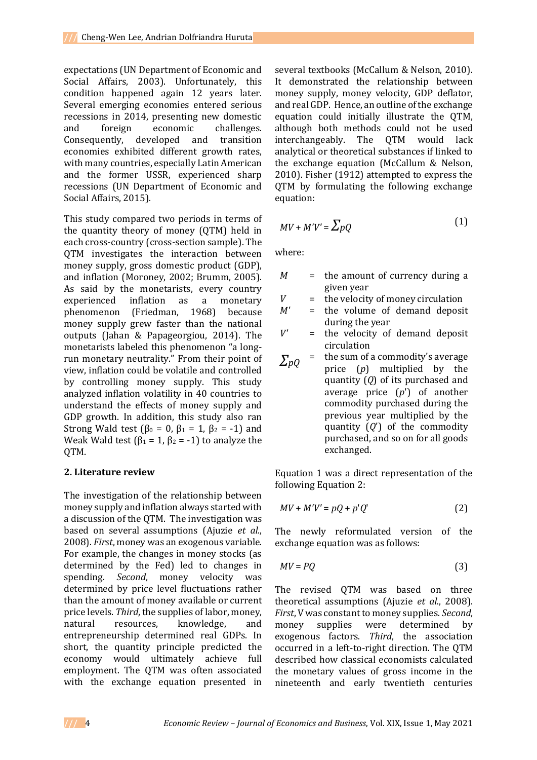expectations (UN Department of Economic and Social Affairs, 2003). Unfortunately, this condition happened again 12 years later. Several emerging economies entered serious recessions in 2014, presenting new domestic and foreign economic challenges. Consequently, developed and transition economies exhibited different growth rates, with many countries, especially Latin American and the former USSR, experienced sharp recessions (UN Department of Economic and Social Affairs, 2015).

This study compared two periods in terms of the quantity theory of money (QTM) held in each cross-country (cross-section sample). The QTM investigates the interaction between money supply, gross domestic product (GDP), and inflation (Moroney, 2002; Brumm, 2005). As said by the monetarists, every country experienced inflation as a monetary phenomenon (Friedman, 1968) because money supply grew faster than the national outputs (Jahan & Papageorgiou, 2014). The monetarists labeled this phenomenon "a longrun monetary neutrality." From their point of view, inflation could be volatile and controlled by controlling money supply. This study analyzed inflation volatility in 40 countries to understand the effects of money supply and GDP growth. In addition, this study also ran Strong Wald test ( $\beta_0 = 0$ ,  $\beta_1 = 1$ ,  $\beta_2 = -1$ ) and Weak Wald test ( $\beta_1 = 1$ ,  $\beta_2 = -1$ ) to analyze the OTM.

# **2. Literature review**

The investigation of the relationship between money supply and inflation always started with a discussion of the QTM. The investigation was based on several assumptions (Ajuzie *et al.*, 2008). *First*, money was an exogenous variable. For example, the changes in money stocks (as determined by the Fed) led to changes in spending. *Second*, money velocity was determined by price level fluctuations rather than the amount of money available or current price levels. *Third*, the supplies of labor, money, natural resources, knowledge, and entrepreneurship determined real GDPs. In short, the quantity principle predicted the economy would ultimately achieve full employment. The QTM was often associated with the exchange equation presented in

several textbooks (McCallum & Nelson, 2010). It demonstrated the relationship between money supply, money velocity, GDP deflator, and real GDP. Hence, an outline of the exchange equation could initially illustrate the QTM, although both methods could not be used interchangeably. The QTM would lack analytical or theoretical substances if linked to the exchange equation (McCallum & Nelson, 2010). Fisher (1912) attempted to express the QTM by formulating the following exchange equation:

$$
MV + MV' = \sum pQ \tag{1}
$$

where:

- *M* = the amount of currency during a given year
- *V* = the velocity of money circulation
- *M'* = the volume of demand deposit during the year
- *V'* = the velocity of demand deposit circulation
- $\sum_{pQ}$  = the sum of a commodity's average price (*p*) multiplied by the quantity (*Q*) of its purchased and average price (*p*') of another commodity purchased during the previous year multiplied by the quantity (*Q*') of the commodity purchased, and so on for all goods exchanged.

Equation 1 was a direct representation of the following Equation 2:

$$
MV + MV' = pQ + p'Q'
$$
 (2)

The newly reformulated version of the exchange equation was as follows:

$$
MV = PQ \tag{3}
$$

The revised QTM was based on three theoretical assumptions (Ajuzie *et al.*, 2008). *First*, V was constant to money supplies. *Second*, money supplies were determined by exogenous factors. *Third*, the association occurred in a left-to-right direction. The QTM described how classical economists calculated the monetary values of gross income in the nineteenth and early twentieth centuries

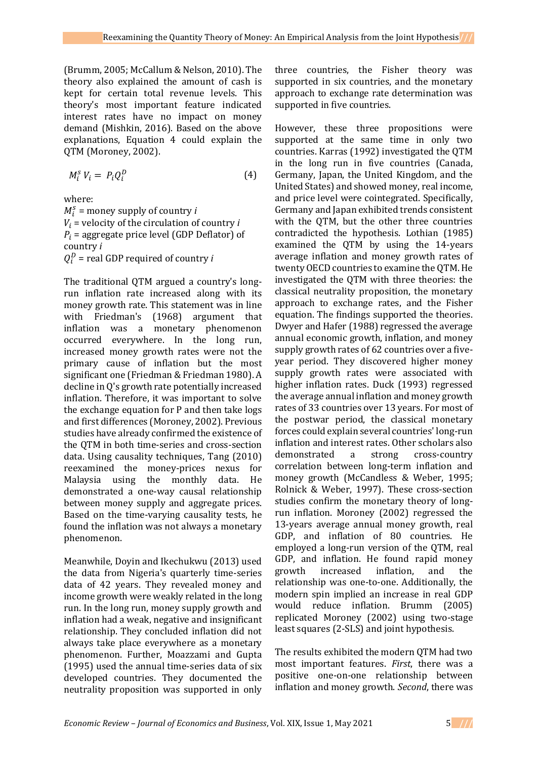(Brumm, 2005; McCallum & Nelson, 2010). The theory also explained the amount of cash is kept for certain total revenue levels. This theory's most important feature indicated interest rates have no impact on money demand (Mishkin, 2016). Based on the above explanations, Equation 4 could explain the QTM (Moroney, 2002).

$$
M_i^s V_i = P_i Q_i^D \tag{4}
$$

where:

 $M_i^s$  = money supply of country *i*  $V_i$  = velocity of the circulation of country *i*  $P_i$  = aggregate price level (GDP Deflator) of country *i*  $Q_i^D$  = real GDP required of country *i* 

The traditional QTM argued a country's longrun inflation rate increased along with its money growth rate. This statement was in line with Friedman's (1968) argument that inflation was a monetary phenomenon occurred everywhere. In the long run, increased money growth rates were not the primary cause of inflation but the most significant one (Friedman & Friedman 1980). A decline in Q's growth rate potentially increased inflation. Therefore, it was important to solve the exchange equation for P and then take logs and first differences (Moroney, 2002). Previous studies have already confirmed the existence of the QTM in both time-series and cross-section data. Using causality techniques, Tang (2010) reexamined the money-prices nexus for Malaysia using the monthly data. He demonstrated a one-way causal relationship between money supply and aggregate prices. Based on the time-varying causality tests, he found the inflation was not always a monetary phenomenon.

Meanwhile, Doyin and Ikechukwu (2013) used the data from Nigeria's quarterly time-series data of 42 years. They revealed money and income growth were weakly related in the long run. In the long run, money supply growth and inflation had a weak, negative and insignificant relationship. They concluded inflation did not always take place everywhere as a monetary phenomenon. Further, Moazzami and Gupta (1995) used the annual time-series data of six developed countries. They documented the neutrality proposition was supported in only

three countries, the Fisher theory was supported in six countries, and the monetary approach to exchange rate determination was supported in five countries.

However, these three propositions were supported at the same time in only two countries. Karras (1992) investigated the QTM in the long run in five countries (Canada, Germany, Japan, the United Kingdom, and the United States) and showed money, real income, and price level were cointegrated. Specifically, Germany and Japan exhibited trends consistent with the QTM, but the other three countries contradicted the hypothesis. Lothian (1985) examined the QTM by using the 14-years average inflation and money growth rates of twenty OECD countries to examine the QTM. He investigated the QTM with three theories: the classical neutrality proposition, the monetary approach to exchange rates, and the Fisher equation. The findings supported the theories. Dwyer and Hafer (1988) regressed the average annual economic growth, inflation, and money supply growth rates of 62 countries over a fiveyear period. They discovered higher money supply growth rates were associated with higher inflation rates. Duck (1993) regressed the average annual inflation and money growth rates of 33 countries over 13 years. For most of the postwar period, the classical monetary forces could explain several countries' long-run inflation and interest rates. Other scholars also demonstrated a strong cross-country correlation between long-term inflation and money growth (McCandless & Weber, 1995; Rolnick & Weber, 1997). These cross-section studies confirm the monetary theory of longrun inflation. Moroney (2002) regressed the 13-years average annual money growth, real GDP, and inflation of 80 countries. He employed a long-run version of the QTM, real GDP, and inflation. He found rapid money growth increased inflation, and the relationship was one-to-one. Additionally, the modern spin implied an increase in real GDP would reduce inflation. Brumm (2005) replicated Moroney (2002) using two-stage least squares (2-SLS) and joint hypothesis.

The results exhibited the modern QTM had two most important features. *First*, there was a positive one-on-one relationship between inflation and money growth. *Second*, there was

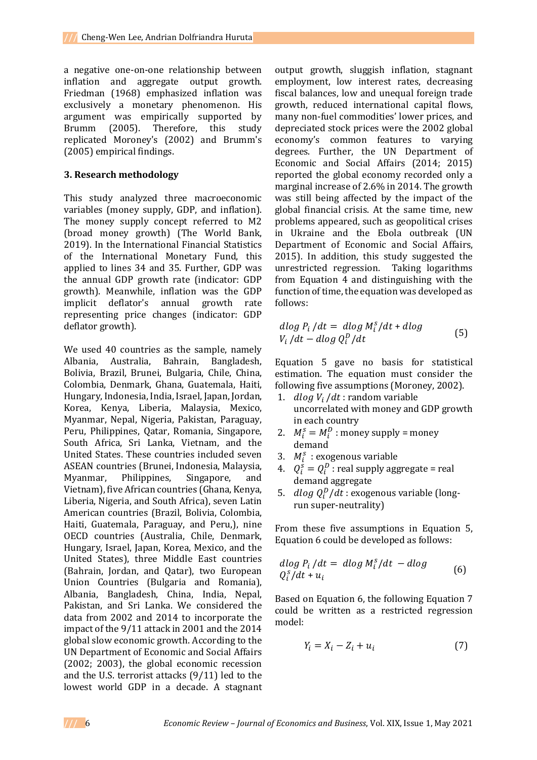a negative one-on-one relationship between inflation and aggregate output growth. Friedman (1968) emphasized inflation was exclusively a monetary phenomenon. His argument was empirically supported by Brumm (2005). Therefore, this study replicated Moroney's (2002) and Brumm's (2005) empirical findings.

#### **3. Research methodology**

This study analyzed three macroeconomic variables (money supply, GDP, and inflation). The money supply concept referred to M2 (broad money growth) (The World Bank, 2019). In the International Financial Statistics of the International Monetary Fund, this applied to lines 34 and 35. Further, GDP was the annual GDP growth rate (indicator: GDP growth). Meanwhile, inflation was the GDP implicit deflator's annual growth rate representing price changes (indicator: GDP deflator growth).

We used 40 countries as the sample, namely Albania, Australia, Bahrain, Bangladesh, Bolivia, Brazil, Brunei, Bulgaria, Chile, China, Colombia, Denmark, Ghana, Guatemala, Haiti, Hungary, Indonesia, India, Israel, Japan, Jordan, Korea, Kenya, Liberia, Malaysia, Mexico, Myanmar, Nepal, Nigeria, Pakistan, Paraguay, Peru, Philippines, Qatar, Romania, Singapore, South Africa, Sri Lanka, Vietnam, and the United States. These countries included seven ASEAN countries (Brunei, Indonesia, Malaysia, Myanmar, Philippines, Singapore, and Vietnam), five African countries (Ghana, Kenya, Liberia, Nigeria, and South Africa), seven Latin American countries (Brazil, Bolivia, Colombia, Haiti, Guatemala, Paraguay, and Peru,), nine OECD countries (Australia, Chile, Denmark, Hungary, Israel, Japan, Korea, Mexico, and the United States), three Middle East countries (Bahrain, Jordan, and Qatar), two European Union Countries (Bulgaria and Romania), Albania, Bangladesh, China, India, Nepal, Pakistan, and Sri Lanka. We considered the data from 2002 and 2014 to incorporate the impact of the 9/11 attack in 2001 and the 2014 global slow economic growth. According to the UN Department of Economic and Social Affairs (2002; 2003), the global economic recession and the U.S. terrorist attacks (9/11) led to the lowest world GDP in a decade. A stagnant

output growth, sluggish inflation, stagnant employment, low interest rates, decreasing fiscal balances, low and unequal foreign trade growth, reduced international capital flows, many non-fuel commodities' lower prices, and depreciated stock prices were the 2002 global economy's common features to varying degrees. Further, the UN Department of Economic and Social Affairs (2014; 2015) reported the global economy recorded only a marginal increase of 2.6% in 2014. The growth was still being affected by the impact of the global financial crisis. At the same time, new problems appeared, such as geopolitical crises in Ukraine and the Ebola outbreak (UN Department of Economic and Social Affairs, 2015). In addition, this study suggested the unrestricted regression. Taking logarithms from Equation 4 and distinguishing with the function of time, the equation was developed as follows:

$$
d\log P_i/dt = d\log M_i^s/dt + d\log
$$
  
V<sub>i</sub>/dt - d\log Q<sub>i</sub><sup>D</sup>/dt (5)

Equation 5 gave no basis for statistical estimation. The equation must consider the following five assumptions (Moroney, 2002).

- 1.  $dlog V_i/dt$ : random variable uncorrelated with money and GDP growth in each country
- 2.  $M_i^s = M_i^D$ : money supply = money demand
- 3.  $M_i^s$ : exogenous variable
- 4.  $Q_i^s = Q_i^b$ : real supply aggregate = real demand aggregate
- 5.  $dlog Q_i^D/dt$ : exogenous variable (longrun super-neutrality)

From these five assumptions in Equation 5, Equation 6 could be developed as follows:

$$
d\log P_i/dt = d\log M_i^S/dt - d\log \t\t(6)
$$
  
Q<sub>i</sub><sup>S</sup>/dt + u<sub>i</sub>

Based on Equation 6, the following Equation 7 could be written as a restricted regression model:

$$
Y_i = X_i - Z_i + u_i \tag{7}
$$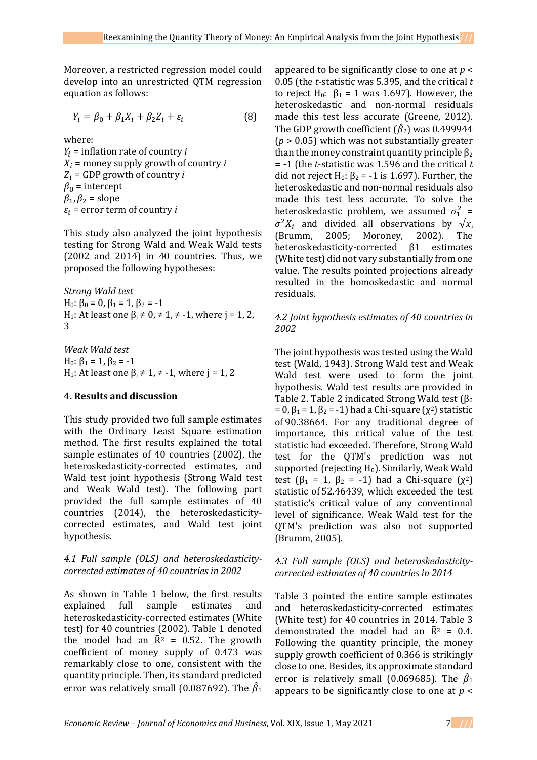Moreover, a restricted regression model could develop into an unrestricted QTM regression equation as follows:

$$
Y_i = \beta_0 + \beta_1 X_i + \beta_2 Z_i + \varepsilon_i \tag{8}
$$

where:

 $Y_i$  = inflation rate of country *i*  $X_i$  = money supply growth of country *i*  $Z_i$  = GDP growth of country *i*  $\beta_0$  = intercept  $\beta_1$ ,  $\beta_2$  = slope  $\varepsilon_i$  = error term of country *i* 

This study also analyzed the joint hypothesis testing for Strong Wald and Weak Wald tests (2002 and 2014) in 40 countries. Thus, we proposed the following hypotheses:

*Strong Wald test* H<sub>0</sub>:  $\beta_0 = 0$ ,  $\beta_1 = 1$ ,  $\beta_2 = -1$ H<sub>1</sub>: At least one  $β<sub>i</sub> ≠ 0, ≠ 1, ≠ -1$ , where j = 1, 2, 3

*Weak Wald test* H<sub>0</sub>:  $\beta_1 = 1$ ,  $\beta_2 = -1$ H<sub>1</sub>: At least one  $β<sub>i</sub> ≠ 1, ≠ -1$ , where j = 1, 2

# **4. Results and discussion**

This study provided two full sample estimates with the Ordinary Least Square estimation method. The first results explained the total sample estimates of 40 countries (2002), the heteroskedasticity-corrected estimates, and Wald test joint hypothesis (Strong Wald test and Weak Wald test). The following part provided the full sample estimates of 40 countries (2014), the heteroskedasticitycorrected estimates, and Wald test joint hypothesis.

# *4.1 Full sample (OLS) and heteroskedasticitycorrected estimates of 40 countries in 2002*

As shown in Table 1 below, the first results explained full sample estimates and heteroskedasticity-corrected estimates (White test) for 40 countries (2002). Table 1 denoted the model had an  $\bar{R}^2$  = 0.52. The growth coefficient of money supply of 0.473 was remarkably close to one, consistent with the quantity principle. Then, its standard predicted error was relatively small (0.087692). The  $\hat{\beta}_1$ 

appeared to be significantly close to one at *p* < 0.05 (the *t*-statistic was 5.395, and the critical *t* to reject H<sub>0</sub>:  $\beta_1 = 1$  was 1.697). However, the heteroskedastic and non-normal residuals made this test less accurate (Greene, 2012). The GDP growth coefficient  $(\hat{\beta}_2)$  was 0.499944 (*p* > 0.05) which was not substantially greater than the money constraint quantity principle  $\beta_2$ **= -**1 (the *t*-statistic was 1.596 and the critical *t* did not reject H<sub>0</sub>:  $\beta_2$  = -1 is 1.697). Further, the heteroskedastic and non-normal residuals also made this test less accurate. To solve the heteroskedastic problem, we assumed  $\sigma_1^2$  =  $\sigma^2 X_i$  and divided all observations by  $\sqrt{x_i}$ (Brumm, 2005; Moroney, 2002). The heteroskedasticity-corrected β1 estimates (White test) did not vary substantially from one value. The results pointed projections already resulted in the homoskedastic and normal residuals.

# *4.2 Joint hypothesis estimates of 40 countries in 2002*

The joint hypothesis was tested using the Wald test (Wald, 1943). Strong Wald test and Weak Wald test were used to form the joint hypothesis. Wald test results are provided in Table 2. Table 2 indicated Strong Wald test  $(\beta_0)$  $= 0$ ,  $\beta_1 = 1$ ,  $\beta_2 = -1$ ) had a Chi-square ( $\chi^2$ ) statistic of 90.38664. For any traditional degree of importance, this critical value of the test statistic had exceeded. Therefore, Strong Wald test for the QTM's prediction was not supported (rejecting  $H_0$ ). Similarly, Weak Wald test ( $\beta_1 = 1$ ,  $\beta_2 = -1$ ) had a Chi-square ( $\chi^2$ ) statistic of 52.46439, which exceeded the test statistic's critical value of any conventional level of significance. Weak Wald test for the QTM's prediction was also not supported (Brumm, 2005).

#### *4.3 Full sample (OLS) and heteroskedasticitycorrected estimates of 40 countries in 2014*

Table 3 pointed the entire sample estimates and heteroskedasticity-corrected estimates (White test) for 40 countries in 2014. Table 3 demonstrated the model had an  $\bar{R}^2 = 0.4$ . Following the quantity principle, the money supply growth coefficient of 0.366 is strikingly close to one. Besides, its approximate standard error is relatively small (0.069685). The  $\hat{\beta}_1$ appears to be significantly close to one at *p* <

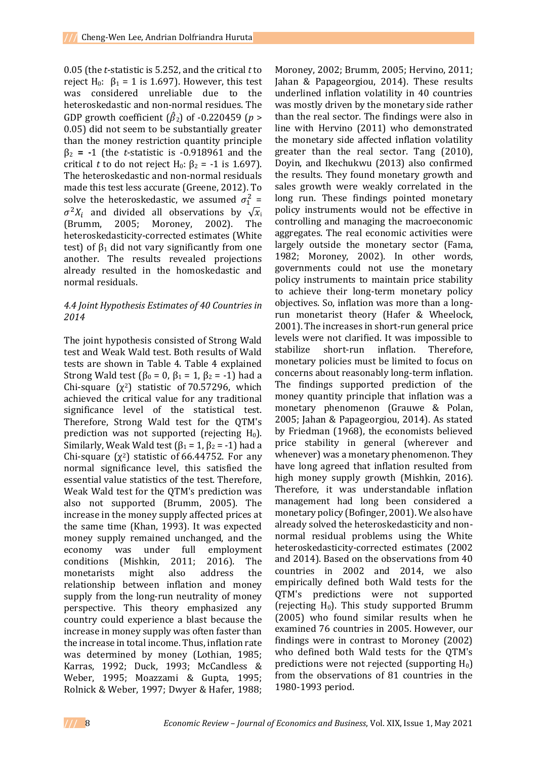0.05 (the *t*-statistic is 5.252, and the critical *t* to reject H<sub>0</sub>:  $β_1 = 1$  is 1.697). However, this test was considered unreliable due to the heteroskedastic and non-normal residues. The GDP growth coefficient  $(\hat{\beta}_2)$  of -0.220459 (*p* > 0.05) did not seem to be substantially greater than the money restriction quantity principle β<sup>2</sup> **= -**1 (the *t*-statistic is -0.918961 and the critical *t* to do not reject H<sub>0</sub>:  $\beta_2$  = -1 is 1.697). The heteroskedastic and non-normal residuals made this test less accurate (Greene, 2012). To solve the heteroskedastic, we assumed  $\sigma_1^2$  =  $\sigma^2 X_i$  and divided all observations by  $\sqrt{x_i}$ (Brumm, 2005; Moroney, 2002). The heteroskedasticity-corrected estimates (White test) of  $β_1$  did not vary significantly from one another. The results revealed projections already resulted in the homoskedastic and normal residuals.

#### *4.4 Joint Hypothesis Estimates of 40 Countries in 2014*

The joint hypothesis consisted of Strong Wald test and Weak Wald test. Both results of Wald tests are shown in Table 4. Table 4 explained Strong Wald test ( $\beta_0 = 0$ ,  $\beta_1 = 1$ ,  $\beta_2 = -1$ ) had a Chi-square  $(\chi^2)$  statistic of 70.57296, which achieved the critical value for any traditional significance level of the statistical test. Therefore, Strong Wald test for the QTM's prediction was not supported (rejecting  $H_0$ ). Similarly, Weak Wald test  $(\beta_1 = 1, \beta_2 = -1)$  had a Chi-square  $(\chi^2)$  statistic of 66.44752. For any normal significance level, this satisfied the essential value statistics of the test. Therefore, Weak Wald test for the QTM's prediction was also not supported (Brumm, 2005). The increase in the money supply affected prices at the same time (Khan, 1993). It was expected money supply remained unchanged, and the economy was under full employment conditions (Mishkin, 2011; 2016). The monetarists might also address the relationship between inflation and money supply from the long-run neutrality of money perspective. This theory emphasized any country could experience a blast because the increase in money supply was often faster than the increase in total income. Thus, inflation rate was determined by money (Lothian, 1985; Karras, 1992; Duck, 1993; McCandless & Weber, 1995; Moazzami & Gupta, 1995; Rolnick & Weber, 1997; Dwyer & Hafer, 1988;

Moroney, 2002; Brumm, 2005; Hervino, 2011; Jahan & Papageorgiou, 2014). These results underlined inflation volatility in 40 countries was mostly driven by the monetary side rather than the real sector. The findings were also in line with Hervino (2011) who demonstrated the monetary side affected inflation volatility greater than the real sector. Tang (2010), Doyin, and Ikechukwu (2013) also confirmed the results. They found monetary growth and sales growth were weakly correlated in the long run. These findings pointed monetary policy instruments would not be effective in controlling and managing the macroeconomic aggregates. The real economic activities were largely outside the monetary sector (Fama, 1982; Moroney, 2002). In other words, governments could not use the monetary policy instruments to maintain price stability to achieve their long-term monetary policy objectives. So, inflation was more than a longrun monetarist theory (Hafer & Wheelock, 2001). The increases in short-run general price levels were not clarified. It was impossible to stabilize short-run inflation. Therefore, monetary policies must be limited to focus on concerns about reasonably long-term inflation. The findings supported prediction of the money quantity principle that inflation was a monetary phenomenon (Grauwe & Polan, 2005; Jahan & Papageorgiou, 2014). As stated by Friedman (1968), the economists believed price stability in general (wherever and whenever) was a monetary phenomenon. They have long agreed that inflation resulted from high money supply growth (Mishkin, 2016). Therefore, it was understandable inflation management had long been considered a monetary policy (Bofinger, 2001). We also have already solved the heteroskedasticity and nonnormal residual problems using the White heteroskedasticity-corrected estimates (2002 and 2014). Based on the observations from 40 countries in 2002 and 2014, we also empirically defined both Wald tests for the QTM's predictions were not supported (rejecting  $H_0$ ). This study supported Brumm (2005) who found similar results when he examined 76 countries in 2005. However, our findings were in contrast to Moroney (2002) who defined both Wald tests for the QTM's predictions were not rejected (supporting  $H_0$ ) from the observations of 81 countries in the 1980-1993 period.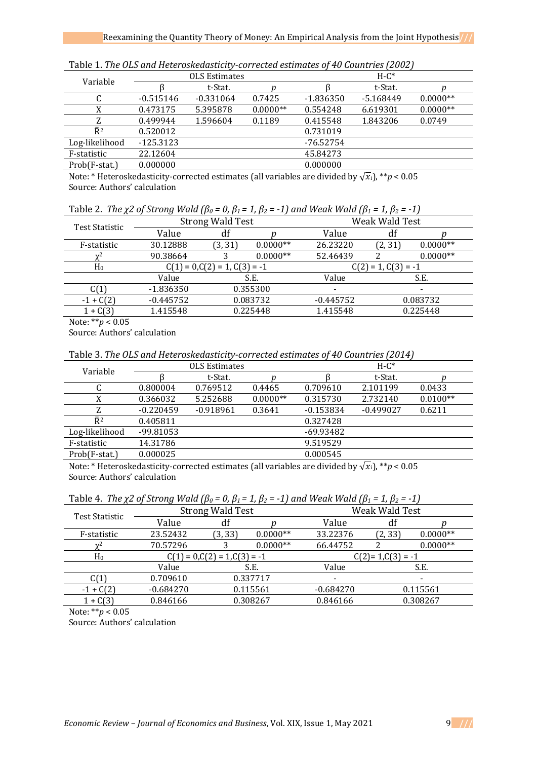| Variable       | <b>OLS Estimates</b> |             |            | $H-C^*$     |             |            |  |
|----------------|----------------------|-------------|------------|-------------|-------------|------------|--|
|                |                      | t-Stat.     |            |             | t-Stat.     |            |  |
|                | $-0.515146$          | $-0.331064$ | 0.7425     | $-1.836350$ | $-5.168449$ | $0.0000**$ |  |
| X              | 0.473175             | 5.395878    | $0.0000**$ | 0.554248    | 6.619301    | $0.0000**$ |  |
| 7.             | 0.499944             | 1.596604    | 0.1189     | 0.415548    | 1.843206    | 0.0749     |  |
| $\bar{R}^2$    | 0.520012             |             |            | 0.731019    |             |            |  |
| Log-likelihood | $-125.3123$          |             |            | $-76.52754$ |             |            |  |
| F-statistic    | 22.12604             |             |            | 45.84273    |             |            |  |
| Prob(F-stat.)  | 0.000000             |             |            | 0.000000    |             |            |  |

Table 1. *The OLS and Heteroskedasticity-corrected estimates of 40 Countries (2002)*

Note: \* Heteroskedasticity-corrected estimates (all variables are divided by  $\sqrt{x_i}$ ), \*\**p* < 0.05 Source: Authors' calculation

|  |  |  |  | Table 2. The $\chi$ 2 of Strong Wald ( $\beta$ <sub>0</sub> = 0, $\beta$ <sub>1</sub> = 1, $\beta$ <sub>2</sub> = -1) and Weak Wald ( $\beta$ <sub>1</sub> = 1, $\beta$ <sub>2</sub> = -1) |  |  |
|--|--|--|--|--------------------------------------------------------------------------------------------------------------------------------------------------------------------------------------------|--|--|
|--|--|--|--|--------------------------------------------------------------------------------------------------------------------------------------------------------------------------------------------|--|--|

| Test Statistic | <b>Strong Wald Test</b>         |          |                       | Weak Wald Test           |                          |            |  |
|----------------|---------------------------------|----------|-----------------------|--------------------------|--------------------------|------------|--|
|                | Value                           | df       |                       | Value                    | df                       |            |  |
| F-statistic    | 30.12888                        | (3, 31)  | $0.0000**$            | 26.23220                 | (2, 31)                  | $0.0000**$ |  |
| $\chi^2$       | 90.38664                        |          | $0.0000**$            | 52.46439                 |                          | $0.0000**$ |  |
| H <sub>0</sub> | $C(1) = 0, C(2) = 1, C(3) = -1$ |          | $C(2) = 1, C(3) = -1$ |                          |                          |            |  |
|                | Value                           | S.E.     |                       | Value                    |                          | S.E.       |  |
| C(1)           | $-1.836350$                     | 0.355300 |                       | $\overline{\phantom{a}}$ | $\overline{\phantom{a}}$ |            |  |
| $-1 + C(2)$    | $-0.445752$                     | 0.083732 |                       | $-0.445752$              | 0.083732                 |            |  |
| $1 + C(3)$     | 1.415548                        | 0.225448 |                       | 1.415548                 |                          | 0.225448   |  |

Note: \*\**p* < 0.05

Source: Authors' calculation

Table 3. *The OLS and Heteroskedasticity-corrected estimates of 40 Countries (2014)*

| Variable       | <b>OLS Estimates</b> |             |            | $H-C^*$     |             |            |  |
|----------------|----------------------|-------------|------------|-------------|-------------|------------|--|
|                |                      | t-Stat.     |            |             | t-Stat.     |            |  |
| u              | 0.800004             | 0.769512    | 0.4465     | 0.709610    | 2.101199    | 0.0433     |  |
| X              | 0.366032             | 5.252688    | $0.0000**$ | 0.315730    | 2.732140    | $0.0100**$ |  |
| Z              | $-0.220459$          | $-0.918961$ | 0.3641     | $-0.153834$ | $-0.499027$ | 0.6211     |  |
| $\bar{R}^2$    | 0.405811             |             |            | 0.327428    |             |            |  |
| Log-likelihood | -99.81053            |             |            | -69.93482   |             |            |  |
| F-statistic    | 14.31786             |             |            | 9.519529    |             |            |  |
| Prob(F-stat.)  | 0.000025             |             |            | 0.000545    |             |            |  |

Note: \* Heteroskedasticity-corrected estimates (all variables are divided by  $\sqrt{x_i}$ ), \*\**p* < 0.05 Source: Authors' calculation

|  |  |  |  |  | Table 4. The $\chi$ 2 of Strong Wald ( $\beta_0$ = 0, $\beta_1$ = 1, $\beta_2$ = -1) and Weak Wald ( $\beta_1$ = 1, $\beta_2$ = -1) |  |  |  |
|--|--|--|--|--|-------------------------------------------------------------------------------------------------------------------------------------|--|--|--|
|--|--|--|--|--|-------------------------------------------------------------------------------------------------------------------------------------|--|--|--|

| Test Statistic | <b>Strong Wald Test</b>         |          |                     | Weak Wald Test           |         |                          |  |
|----------------|---------------------------------|----------|---------------------|--------------------------|---------|--------------------------|--|
|                | Value                           | df       |                     | Value                    | df      |                          |  |
| F-statistic    | 23.52432                        | (3, 33)  | $0.0000**$          | 33.22376                 | (2, 33) | $0.0000**$               |  |
| $\mathbf{v}^2$ | 70.57296                        |          | $0.0000**$          | 66.44752                 |         | $0.0000**$               |  |
| H <sub>0</sub> | $C(1) = 0, C(2) = 1, C(3) = -1$ |          | $C(2)=1, C(3) = -1$ |                          |         |                          |  |
|                | Value                           | S.E.     |                     | Value                    |         | S.E.                     |  |
| C(1)           | 0.709610                        | 0.337717 |                     | $\overline{\phantom{0}}$ |         | $\overline{\phantom{a}}$ |  |
| $-1 + C(2)$    | $-0.684270$                     | 0.115561 |                     | $-0.684270$              |         | 0.115561                 |  |
| $1 + C(3)$     | 0.846166                        | 0.308267 |                     | 0.846166                 |         | 0.308267                 |  |
|                |                                 |          |                     |                          |         |                          |  |

Note: \*\**p* < 0.05

Source: Authors' calculation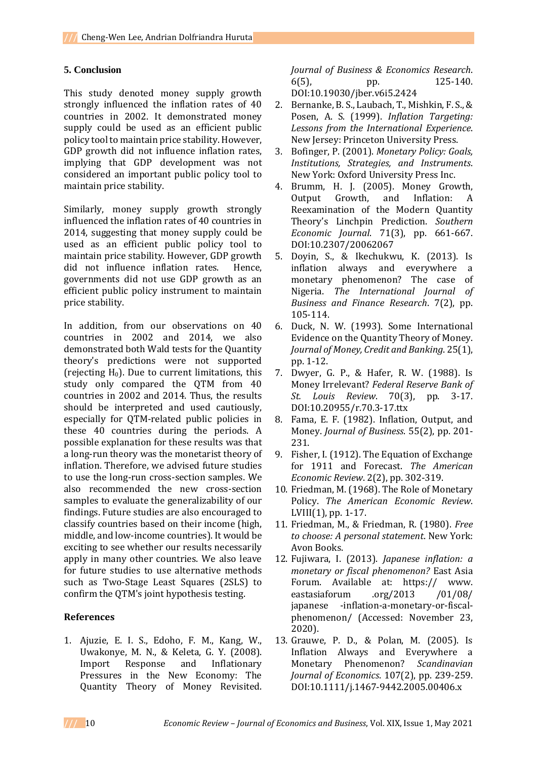#### **5. Conclusion**

This study denoted money supply growth strongly influenced the inflation rates of 40 countries in 2002. It demonstrated money supply could be used as an efficient public policy tool to maintain price stability. However, GDP growth did not influence inflation rates, implying that GDP development was not considered an important public policy tool to maintain price stability.

Similarly, money supply growth strongly influenced the inflation rates of 40 countries in 2014, suggesting that money supply could be used as an efficient public policy tool to maintain price stability. However, GDP growth did not influence inflation rates. Hence, governments did not use GDP growth as an efficient public policy instrument to maintain price stability.

In addition, from our observations on 40 countries in 2002 and 2014, we also demonstrated both Wald tests for the Quantity theory's predictions were not supported (rejecting  $H_0$ ). Due to current limitations, this study only compared the QTM from 40 countries in 2002 and 2014. Thus, the results should be interpreted and used cautiously, especially for QTM-related public policies in these 40 countries during the periods. A possible explanation for these results was that a long-run theory was the monetarist theory of inflation. Therefore, we advised future studies to use the long-run cross-section samples. We also recommended the new cross-section samples to evaluate the generalizability of our findings. Future studies are also encouraged to classify countries based on their income (high, middle, and low-income countries). It would be exciting to see whether our results necessarily apply in many other countries. We also leave for future studies to use alternative methods such as Two-Stage Least Squares (2SLS) to confirm the QTM's joint hypothesis testing.

# **References**

1. Ajuzie, E. I. S., Edoho, F. M., Kang, W., Uwakonye, M. N., & Keleta, G. Y. (2008). Import Response and Inflationary Pressures in the New Economy: The Quantity Theory of Money Revisited. *Journal of Business & Economics Research*. 6(5), pp. 125-140. DOI:10.19030/jber.v6i5.2424

- 2. Bernanke, B. S., Laubach, T., Mishkin, F. S., & Posen, A. S. (1999). *Inflation Targeting: Lessons from the International Experience*. New Jersey: Princeton University Press.
- 3. Bofinger, P. (2001). *Monetary Policy: Goals, Institutions, Strategies, and Instruments*. New York: Oxford University Press Inc.
- 4. Brumm, H. J. (2005). Money Growth, Output Growth, and Inflation: A Reexamination of the Modern Quantity Theory's Linchpin Prediction. *Southern Economic Journal*. 71(3), pp. 661-667. DOI:10.2307/20062067
- 5. Doyin, S., & Ikechukwu, K. (2013). Is inflation always and everywhere a monetary phenomenon? The case of Nigeria. *The International Journal of Business and Finance Research*. 7(2), pp. 105-114.
- 6. Duck, N. W. (1993). Some International Evidence on the Quantity Theory of Money. *Journal of Money, Credit and Banking*. 25(1), pp. 1-12.
- 7. Dwyer, G. P., & Hafer, R. W. (1988). Is Money Irrelevant? *Federal Reserve Bank of St. Louis Review*. 70(3), pp. 3-17. DOI:10.20955/r.70.3-17.ttx
- 8. Fama, E. F. (1982). Inflation, Output, and Money. *Journal of Business*. 55(2), pp. 201- 231.
- 9. Fisher, I. (1912). The Equation of Exchange for 1911 and Forecast. *The American Economic Review*. 2(2), pp. 302-319.
- 10. Friedman, M. (1968). The Role of Monetary Policy. *The American Economic Review*. LVIII(1), pp. 1-17.
- 11. Friedman, M., & Friedman, R. (1980). *Free to choose: A personal statement*. New York: Avon Books.
- 12. Fujiwara, I. (2013). *Japanese inflation: a monetary or fiscal phenomenon?* East Asia Forum. Available at: https:// www. eastasiaforum .org/2013 /01/08/ japanese -inflation-a-monetary-or-fiscalphenomenon/ (Accessed: November 23, 2020).
- 13. Grauwe, P. D., & Polan, M. (2005). Is Inflation Always and Everywhere a Monetary Phenomenon? *Scandinavian Journal of Economics*. 107(2), pp. 239-259. DOI:10.1111/j.1467-9442.2005.00406.x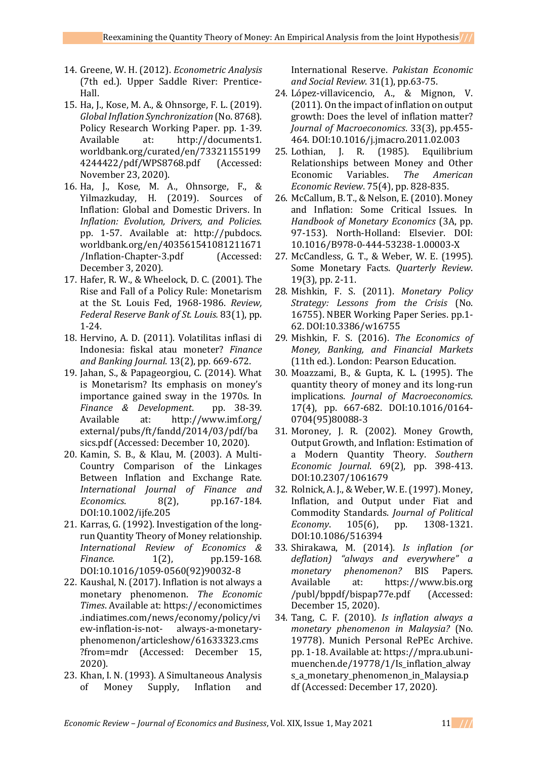- 14. Greene, W. H. (2012). *Econometric Analysis* (7th ed.). Upper Saddle River: Prentice-Hall.
- 15. Ha, J., Kose, M. A., & Ohnsorge, F. L. (2019). *Global Inflation Synchronization* (No. 8768). Policy Research Working Paper. pp. 1-39. Available at: http://documents1. worldbank.org/curated/en/73321155199 4244422/pdf/WPS8768.pdf (Accessed: November 23, 2020).
- 16. Ha, J., Kose, M. A., Ohnsorge, F., & Yilmazkuday, H. (2019). Sources of Inflation: Global and Domestic Drivers. In *Inflation: Evolution, Drivers, and Policies*. pp. 1-57. Available at: http://pubdocs. worldbank.org/en/403561541081211671 /Inflation-Chapter-3.pdf (Accessed: December 3, 2020).
- 17. Hafer, R. W., & Wheelock, D. C. (2001). The Rise and Fall of a Policy Rule: Monetarism at the St. Louis Fed, 1968-1986. *Review, Federal Reserve Bank of St. Louis.* 83(1), pp. 1-24.
- 18. Hervino, A. D. (2011). Volatilitas inflasi di Indonesia: fiskal atau moneter? *Finance and Banking Journal*. 13(2), pp. 669-672.
- 19. Jahan, S., & Papageorgiou, C. (2014). What is Monetarism? Its emphasis on money's importance gained sway in the 1970s. In *Finance & Development*. pp. 38-39. Available at: http://www.imf.org/ external/pubs/ft/fandd/2014/03/pdf/ba sics.pdf (Accessed: December 10, 2020).
- 20. Kamin, S. B., & Klau, M. (2003). A Multi-Country Comparison of the Linkages Between Inflation and Exchange Rate. *International Journal of Finance and Economics*. 8(2), pp.167-184. DOI:10.1002/ijfe.205
- 21. Karras, G. (1992). Investigation of the longrun Quantity Theory of Money relationship. *International Review of Economics & Finance.* 1(2), pp.159-168. DOI:10.1016/1059-0560(92)90032-8
- 22. Kaushal, N. (2017). Inflation is not always a monetary phenomenon. *The Economic Times*. Available at: https://economictimes .indiatimes.com/news/economy/policy/vi ew-inflation-is-not- always-a-monetaryphenomenon/articleshow/61633323.cms ?from=mdr (Accessed: December 15, 2020).
- 23. Khan, I. N. (1993). A Simultaneous Analysis of Money Supply, Inflation and

International Reserve. *Pakistan Economic and Social Review*. 31(1), pp.63-75.

- 24. López-villavicencio, A., & Mignon, V. (2011). On the impact of inflation on output growth: Does the level of inflation matter? *Journal of Macroeconomics*. 33(3), pp.455- 464. DOI:10.1016/j.jmacro.2011.02.003
- 25. Lothian, J. R. (1985). Equilibrium Relationships between Money and Other Economic Variables. *The American Economic Review*. 75(4), pp. 828-835.
- 26. McCallum, B. T., & Nelson, E. (2010). Money and Inflation: Some Critical Issues. In *Handbook of Monetary Economics* (3A, pp. 97-153). North-Holland: Elsevier. DOI: 10.1016/B978-0-444-53238-1.00003-X
- 27. McCandless, G. T., & Weber, W. E. (1995). Some Monetary Facts. *Quarterly Review*. 19(3), pp. 2-11.
- 28. Mishkin, F. S. (2011). *Monetary Policy Strategy: Lessons from the Crisis* (No. 16755). NBER Working Paper Series. pp.1- 62. DOI:10.3386/w16755
- 29. Mishkin, F. S. (2016). *The Economics of Money, Banking, and Financial Markets* (11th ed.). London: Pearson Education.
- 30. Moazzami, B., & Gupta, K. L. (1995). The quantity theory of money and its long-run implications. *Journal of Macroeconomics*. 17(4), pp. 667-682. DOI:10.1016/0164- 0704(95)80088-3
- 31. Moroney, J. R. (2002). Money Growth, Output Growth, and Inflation: Estimation of a Modern Quantity Theory. *Southern Economic Journal*. 69(2), pp. 398-413. DOI:10.2307/1061679
- 32. Rolnick, A. J., & Weber, W. E. (1997). Money, Inflation, and Output under Fiat and Commodity Standards. *Journal of Political Economy*. 105(6), pp. 1308-1321. DOI:10.1086/516394
- 33. Shirakawa, M. (2014). *Is inflation (or deflation) "always and everywhere" a monetary phenomenon?* BIS Papers. Available at: https://www.bis.org /publ/bppdf/bispap77e.pdf (Accessed: December 15, 2020).
- 34. Tang, C. F. (2010). *Is inflation always a monetary phenomenon in Malaysia?* (No. 19778). Munich Personal RePEc Archive. pp. 1-18. Available at: https://mpra.ub.unimuenchen.de/19778/1/Is\_inflation\_alway s\_a\_monetary\_phenomenon\_in\_Malaysia.p df (Accessed: December 17, 2020).